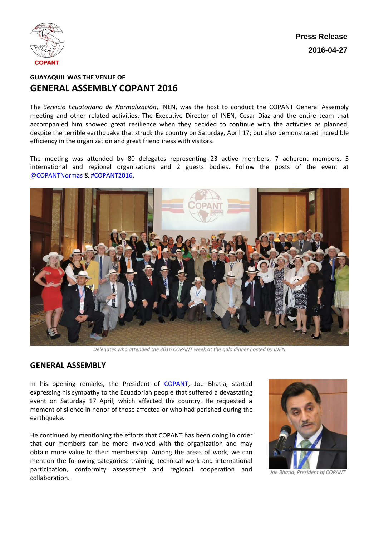

**Press Release 2016-04-27**

## **GUAYAQUIL WAS THE VENUE OF GENERAL ASSEMBLY COPANT 2016**

The *Servicio Ecuatoriano de Normalización*, INEN, was the host to conduct the COPANT General Assembly meeting and other related activities. The Executive Director of INEN, Cesar Diaz and the entire team that accompanied him showed great resilience when they decided to continue with the activities as planned, despite the terrible earthquake that struck the country on Saturday, April 17; but also demonstrated incredible efficiency in the organization and great friendliness with visitors.

The meeting was attended by 80 delegates representing 23 active members, 7 adherent members, 5 international and regional organizations and 2 guests bodies. Follow the posts of the event at [@COPANTNormas](https://twitter.com/COPANTNormas) & [#COPANT2016.](https://twitter.com/hashtag/COPANT2016?src=hash)



*Delegates who attended the 2016 COPANT week at the gala dinner hosted by INEN*

#### **GENERAL ASSEMBLY**

In his opening remarks, the President of [COPANT,](http://www.copant.org/index.php/en/) Joe Bhatia, started expressing his sympathy to the Ecuadorian people that suffered a devastating event on Saturday 17 April, which affected the country. He requested a moment of silence in honor of those affected or who had perished during the earthquake.

He continued by mentioning the efforts that COPANT has been doing in order that our members can be more involved with the organization and may obtain more value to their membership. Among the areas of work, we can mention the following categories: training, technical work and international participation, conformity assessment and regional cooperation and collaboration.



*Joe Bhatia, President of COPANT*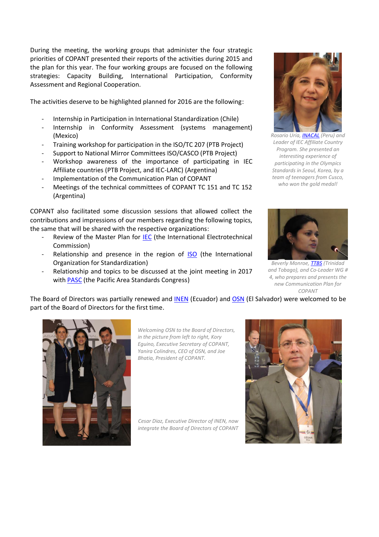During the meeting, the working groups that administer the four strategic priorities of COPANT presented their reports of the activities during 2015 and the plan for this year. The four working groups are focused on the following strategies: Capacity Building, International Participation, Conformity Assessment and Regional Cooperation.

The activities deserve to be highlighted planned for 2016 are the following:

- Internship in Participation in International Standardization (Chile)
- Internship in Conformity Assessment (systems management) (Mexico)
- Training workshop for participation in the ISO/TC 207 (PTB Project)
- Support to National Mirror Committees ISO/CASCO (PTB Project)
- Workshop awareness of the importance of participating in IEC Affiliate countries (PTB Project, and IEC-LARC) (Argentina)
- Implementation of the Communication Plan of COPANT
- Meetings of the technical committees of COPANT TC 151 and TC 152 (Argentina)

COPANT also facilitated some discussion sessions that allowed collect the contributions and impressions of our members regarding the following topics, the same that will be shared with the respective organizations:

- Review of the Master Plan for **IEC** (the International Electrotechnical Commission)
- Relationship and presence in the region of **[ISO](http://www.iso.org/iso/home.html)** (the International Organization for Standardization)
- Relationship and topics to be discussed at the joint meeting in 2017 with [PASC](http://www.pascnet.org/) (the Pacific Area Standards Congress)



*Rosario Uria[, INACAL](http://www.inacal.gob.pe/inacal/) (Peru) and Leader of IEC Affiliate Country Program. She presented an interesting experience of participating in the Olympics Standards in Seoul, Korea, by a team of teenagers from Cusco, who won the gold medal!*



*Beverly Monroe, [TTBS](http://www.ttbs.org.tt/) (Trinidad and Tobago), and Co-Leader WG # 4, who prepares and presents the new Communication Plan for COPANT*

The Board of Directors was partially renewed and [INEN](http://www.inen.gob.ec/) (Ecuador) and [OSN](http://www.osn.gob.sv/) (El Salvador) were welcomed to be part of the Board of Directors for the first time.



*Welcoming OSN to the Board of Directors, in the picture from left to right, Kory Eguino, Executive Secretary of COPANT, Yanira Colindres, CEO of OSN, and Joe Bhatia, President of COPANT.*

*Cesar Diaz, Executive Director of INEN, now integrate the Board of Directors of COPANT*

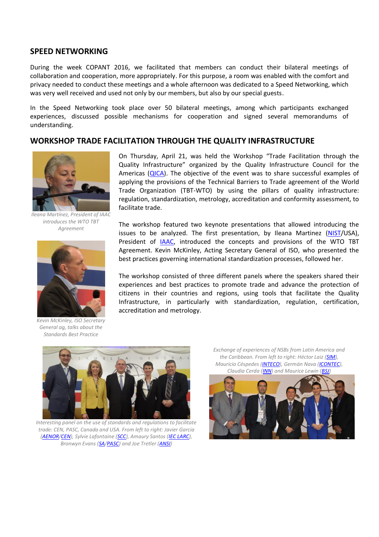#### **SPEED NETWORKING**

During the week COPANT 2016, we facilitated that members can conduct their bilateral meetings of collaboration and cooperation, more appropriately. For this purpose, a room was enabled with the comfort and privacy needed to conduct these meetings and a whole afternoon was dedicated to a Speed Networking, which was very well received and used not only by our members, but also by our special guests.

In the Speed Networking took place over 50 bilateral meetings, among which participants exchanged experiences, discussed possible mechanisms for cooperation and signed several memorandums of understanding.

### **WORKSHOP TRADE FACILITATION THROUGH THE QUALITY INFRASTRUCTURE**



*Ileana Martínez, President of IAAC introduces the WTO TBT Agreement*



*Kevin McKinley, ISO Secretary General ag, talks about the Standards Best Practice* 

On Thursday, April 21, was held the Workshop "Trade Facilitation through the Quality Infrastructure" organized by the Quality Infrastructure Council for the Americas [\(QICA\)](http://cica.copant.org/index.php/en/). The objective of the event was to share successful examples of applying the provisions of the Technical Barriers to Trade agreement of the World Trade Organization (TBT-WTO) by using the pillars of quality infrastructure: regulation, standardization, metrology, accreditation and conformity assessment, to facilitate trade.

The workshop featured two keynote presentations that allowed introducing the issues to be analyzed. The first presentation, by Ileana Martinez [\(NIST/](http://www.nist.gov/)USA), President of [IAAC,](http://www.iaac.org.mx/Spanish/Index.php) introduced the concepts and provisions of the WTO TBT Agreement. Kevin McKinley, Acting Secretary General of ISO, who presented the best practices governing international standardization processes, followed her.

The workshop consisted of three different panels where the speakers shared their experiences and best practices to promote trade and advance the protection of citizens in their countries and regions, using tools that facilitate the Quality Infrastructure, in particularly with standardization, regulation, certification, accreditation and metrology.



*Interesting panel on the use of standards and regulations to facilitate trade: CEN, PASC, Canada and USA. From left to right: Javier Garcia [\(AENOR/](http://www.aenor.es/desarrollo/inicio/home/home.asp)[CEN\)](http://www.cen.eu/cen/pages/default.aspx), Sylvie Lafontaine [\(SCC\)](http://www.scc.ca/en/web/scc-ccn), Amaury Santos [\(IEC LARC\)](http://www.iec.ch/about/locations/iec-larc/), Bronwyn Evans [\(SA/](http://www.standards.org.au/Pages/default.aspx)[PASC\)](http://www.pascnet.org/) and Joe Tretler [\(ANSI\)](http://www.ansi.org/)*

*Exchange of experiences of NSBs from Latin America and the Caribbean. From left to right: Héctor Laiz [\(SIM\)](http://www.sim-metrologia.org.br/spanol/index.php), Mauricio Céspedes [\(INTECO\)](http://inteco.or.cr/esp/), Germán Nava [\(ICONTEC\)](http://icontec.org/index.php/es/), Claudia Cerda [\(INN\)](http://www.inn.cl/) and Maurice Lewin [\(BSJ\)](http://www.bsj.org.jm/)*